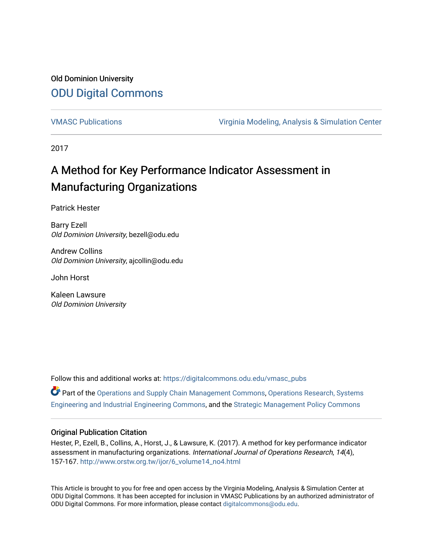## Old Dominion University [ODU Digital Commons](https://digitalcommons.odu.edu/)

[VMASC Publications](https://digitalcommons.odu.edu/vmasc_pubs) [Virginia Modeling, Analysis & Simulation Center](https://digitalcommons.odu.edu/vmasc) 

2017

# A Method for Key Performance Indicator Assessment in Manufacturing Organizations

Patrick Hester

Barry Ezell Old Dominion University, bezell@odu.edu

Andrew Collins Old Dominion University, ajcollin@odu.edu

John Horst

Kaleen Lawsure Old Dominion University

Follow this and additional works at: [https://digitalcommons.odu.edu/vmasc\\_pubs](https://digitalcommons.odu.edu/vmasc_pubs?utm_source=digitalcommons.odu.edu%2Fvmasc_pubs%2F64&utm_medium=PDF&utm_campaign=PDFCoverPages) 

Part of the [Operations and Supply Chain Management Commons,](http://network.bepress.com/hgg/discipline/1229?utm_source=digitalcommons.odu.edu%2Fvmasc_pubs%2F64&utm_medium=PDF&utm_campaign=PDFCoverPages) [Operations Research, Systems](http://network.bepress.com/hgg/discipline/305?utm_source=digitalcommons.odu.edu%2Fvmasc_pubs%2F64&utm_medium=PDF&utm_campaign=PDFCoverPages) [Engineering and Industrial Engineering Commons,](http://network.bepress.com/hgg/discipline/305?utm_source=digitalcommons.odu.edu%2Fvmasc_pubs%2F64&utm_medium=PDF&utm_campaign=PDFCoverPages) and the [Strategic Management Policy Commons](http://network.bepress.com/hgg/discipline/642?utm_source=digitalcommons.odu.edu%2Fvmasc_pubs%2F64&utm_medium=PDF&utm_campaign=PDFCoverPages) 

## Original Publication Citation

Hester, P., Ezell, B., Collins, A., Horst, J., & Lawsure, K. (2017). A method for key performance indicator assessment in manufacturing organizations. International Journal of Operations Research, 14(4), 157-167. [http://www.orstw.org.tw/ijor/6\\_volume14\\_no4.html](http://www.orstw.org.tw/ijor/6_volume14_no4.html)

This Article is brought to you for free and open access by the Virginia Modeling, Analysis & Simulation Center at ODU Digital Commons. It has been accepted for inclusion in VMASC Publications by an authorized administrator of ODU Digital Commons. For more information, please contact [digitalcommons@odu.edu.](mailto:digitalcommons@odu.edu)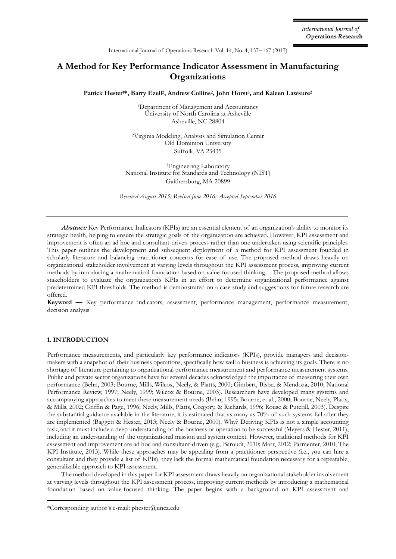## **A Method for Key Performance Indicator Assessment in Manufacturing Organizations**

**Patrick Hester1\*, Barry Ezell<sup>2</sup> , Andrew Collins<sup>2</sup> , John Horst<sup>3</sup> , and Kaleen Lawsure<sup>2</sup>**

<sup>1</sup>Department of Management and Accountancy University of North Carolina at Asheville Asheville, NC 28804

<sup>2</sup>Virginia Modeling, Analysis and Simulation Center Old Dominion University Suffolk, VA 23435

<sup>3</sup>Engineering Laboratory National Institute for Standards and Technology (NIST) Gaithersburg, MA 20899

*Received August 2015; Revised June 2016; Accepted September 2016* 

**Abstract:** Key Performance Indicators (KPIs) are an essential element of an organization's ability to monitor its strategic health, helping to ensure the strategic goals of the organization are achieved. However, KPI assessment and improvement is often an ad hoc and consultant-driven process rather than one undertaken using scientific principles. This paper outlines the development and subsequent deployment of a method for KPI assessment founded in scholarly literature and balancing practitioner concerns for ease of use. The proposed method draws heavily on organizational stakeholder involvement at varying levels throughout the KPI assessment process, improving current methods by introducing a mathematical foundation based on value-focused thinking. The proposed method allows stakeholders to evaluate the organization's KPIs in an effort to determine organizational performance against predetermined KPI thresholds. The method is demonstrated on a case study and suggestions for future research are offered.

**Keyword —** Key performance indicators, assessment, performance management, performance measurement, decision analysis

#### **1. INTRODUCTION**

Performance measurements, and particularly key performance indicators (KPIs), provide managers and decisionmakers with a snapshot of their business operations, specifically how well a business is achieving its goals. There is no shortage of literature pertaining to organizational performance measurement and performance measurement systems. Public and private sector organizations have for several decades acknowledged the importance of measuring their own performance (Behn, 2003; Bourne, Mills, Wilcox, Neely, & Platts, 2000; Gimbert, Bisbe, & Mendoza, 2010; National Performance Review, 1997; Neely, 1999; Wilcox & Bourne, 2003). Researchers have developed many systems and accompanying approaches to meet these measurement needs (Behn, 1995; Bourne, et al., 2000; Bourne, Neely, Platts, & Mills, 2002; Griffin & Page, 1996; Neely, Mills, Platts, Gregory, & Richards, 1996; Rouse & Puterill, 2003). Despite the substantial guidance available in the literature, it is estimated that as many as 70% of such systems fail after they are implemented (Baggett & Hester, 2013; Neely & Bourne, 2000). Why? Deriving KPIs is not a simple accounting task, and it must include a deep understanding of the business or operation to be successful (Meyers & Hester, 2011), including an understanding of the organizational mission and system context. However, traditional methods for KPI assessment and improvement are ad hoc and consultant-driven (e.g., Baroudi, 2010; Marr, 2012; Parmenter, 2010; The KPI Institute, 2013). While these approaches may be appealing from a practitioner perspective (i.e., you can hire a consultant and they provide a list of KPIs), they lack the formal mathematical foundation necessary for a repeatable, generalizable approach to KPI assessment.

The method developed in this paper for KPI assessment draws heavily on organizational stakeholder involvement at varying levels throughout the KPI assessment process, improving current methods by introducing a mathematical foundation based on value-focused thinking. The paper begins with a background on KPI assessment and

<sup>\*</sup>Corresponding author's e-mail: phester@unca.edu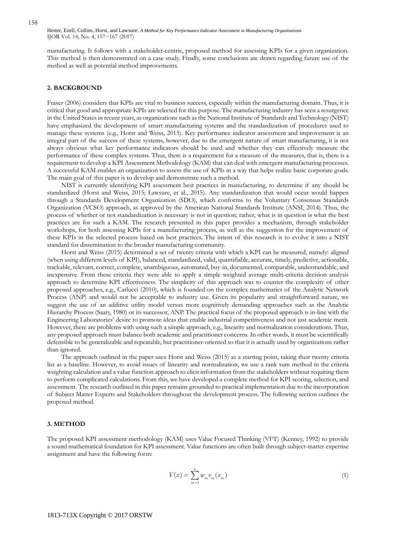manufacturing. It follows with a stakeholder-centric, proposed method for assessing KPIs for a given organization. This method is then demonstrated on a case study. Finally, some conclusions are drawn regarding future use of the method as well as potential method improvements.

#### **2. BACKGROUND**

Fraser (2006) considers that KPIs are vital to business success, especially within the manufacturing domain. Thus, it is critical that good and appropriate KPIs are selected for this purpose. The manufacturing industry has seen a resurgence in the United States in recent years, as organizations such as the National Institute of Standards and Technology (NIST) have emphasized the development of smart manufacturing systems and the standardization of procedures used to manage these systems (e.g., Horst and Weiss, 2015). Key performance indicator assessment and improvement is an integral part of the success of these systems, however, due to the emergent nature of smart manufacturing, it is not always obvious what key performance indicators should be used and whether they can effectively measure the performance of these complex systems. Thus, there is a requirement for a measure of the measures, that is, there is a requirement to develop a KPI Assessment Methodology (KAM) that can deal with emergent manufacturing processes. A successful KAM enables an organization to assess the use of KPIs in a way that helps realize basic corporate goals. The main goal of this paper is to develop and demonstrate such a method.

NIST is currently identifying KPI assessment best practices in manufacturing, to determine if any should be standardized (Horst and Weiss, 2015; Lawsure, et al., 2015). Any standardization that would occur would happen through a Standards Development Organization (SDO), which conforms to the Voluntary Consensus Standards Organization (VCSO) approach, as approved by the American National Standards Institute (ANSI, 2014). Thus, the process of whether or not standardization is necessary is not in question; rather, what is in question is what the best practices are for such a KAM. The research presented in this paper provides a mechanism, through stakeholder workshops, for both assessing KPIs for a manufacturing process, as well as the suggestion for the improvement of these KPIs in the selected process based on best practices. The intent of this research is to evolve it into a NIST standard for dissemination to the broader manufacturing community.

Horst and Weiss (2015) determined a set of twenty criteria with which a KPI can be measured, namely: aligned (when using different levels of KPI), balanced, standardized, valid, quantifiable, accurate, timely, predictive, actionable, trackable, relevant, correct, complete, unambiguous, automated, buy-in, documented, comparable, understandable, and inexpensive. From these criteria they were able to apply a simple weighted average multi-criteria decision analysis approach to determine KPI effectiveness. The simplicity of this approach was to counter the complexity of other proposed approaches, e.g., Carlucci (2010), which is founded on the complex mathematics of the Analytic Network Process (ANP) and would not be acceptable to industry use. Given its popularity and straightforward nature, we suggest the use of an additive utility model versus more cognitively demanding approaches such as the Analytic Hierarchy Process (Saaty, 1980) or its successor, ANP. The practical focus of the proposed approach is in-line with the Engineering Laboratories' desire to promote ideas that enable industrial competitiveness and not just academic merit. However, there are problems with using such a simple approach, e.g., linearity and normalization considerations. Thus, any proposed approach must balance both academic and practitioner concerns. In other words, it must be scientifically defensible to be generalizable and repeatable, but practitioner-oriented so that it is actually used by organizations rather than ignored.

The approach outlined in the paper uses Horst and Weiss (2015) as a starting point, taking their twenty criteria list as a baseline. However, to avoid issues of linearity and normalization, we use a rank sum method in the criteria weighting calculation and a value function approach to elicit information from the stakeholders without requiring them to perform complicated calculations. From this, we have developed a complete method for KPI scoring, selection, and assessment. The research outlined in this paper remains grounded to practical implementation due to the incorporation of Subject Matter Experts and Stakeholders throughout the development process. The following section outlines the proposed method.

#### **3. METHOD**

The proposed KPI assessment methodology (KAM) uses Value Focused Thinking (VFT) (Kenney, 1992) to provide a sound mathematical foundation for KPI assessment. Value functions are often built through subject-matter expertise assignment and have the following form:

$$
V(x) = \sum_{m=1}^{n} w_m v_m(x_m)
$$
 (1)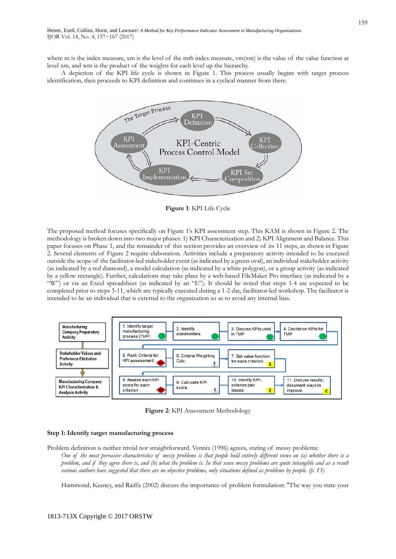where m is the index measure, xm is the level of the mth index measure,  $vm(xm)$  is the value of the value function at level xm, and wm is the product of the weights for each level up the hierarchy.

A depiction of the KPI life cycle is shown in Figure 1. This process usually begins with target process identification, then proceeds to KPI definition and continues in a cyclical manner from there.



**Figure 1**: KPI Life Cycle

The proposed method focuses specifically on Figure 1's KPI assessment step. This KAM is shown in Figure 2. The methodology is broken down into two major phases: 1) KPI Characterization and 2) KPI Alignment and Balance. This paper focuses on Phase 1, and the remainder of this section provides an overview of its 11 steps, as shown in Figure 2. Several elements of Figure 2 require elaboration. Activities include a preparatory activity intended to be executed outside the scope of the facilitator-led stakeholder event (as indicated by a green oval), an individual stakeholder activity (as indicated by a red diamond), a model calculation (as indicated by a white polygon), or a group activity (as indicated by a yellow rectangle). Further, calculations may take place by a web-based FileMaker Pro interface (as indicated by a "W") or via an Excel spreadsheet (as indicated by an "E"). It should be noted that steps 1-4 are expected to be completed prior to steps 5-11, which are typically executed during a 1-2 day, facilitator-led workshop. The facilitator is intended to be an individual that is external to the organization so as to avoid any internal bias.



**Figure 2**: KPI Assessment Methodology

#### **Step 1: Identify target manufacturing process**

Problem definition is neither trivial nor straightforward. Vennix (1996) agrees, stating of messy problems: *One of the most pervasive characteristics of messy problems is that people hold entirely different views on (a) whether there is a problem, and if they agree there is, and (b) what the problem is. In that sense messy problems are quite intangible and as a result various authors have suggested that there are no objective problems, only situations defined as problems by people. (p. 13)* 

Hammond, Keeney, and Raiffa (2002) discuss the importance of problem formulation: "The way you state your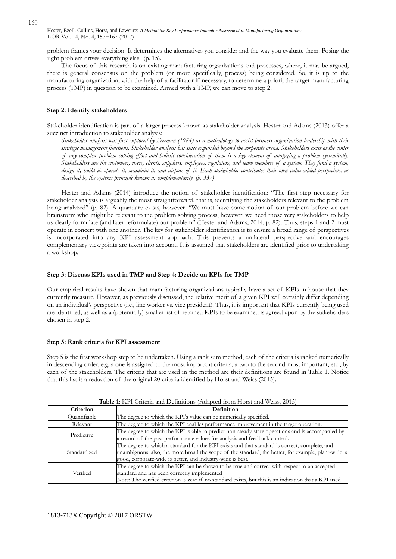problem frames your decision. It determines the alternatives you consider and the way you evaluate them. Posing the right problem drives everything else" (p. 15).

The focus of this research is on existing manufacturing organizations and processes, where, it may be argued, there is general consensus on the problem (or more specifically, process) being considered. So, it is up to the manufacturing organization, with the help of a facilitator if necessary, to determine a priori, the target manufacturing process (TMP) in question to be examined. Armed with a TMP, we can move to step 2.

#### **Step 2: Identify stakeholders**

Stakeholder identification is part of a larger process known as stakeholder analysis. Hester and Adams (2013) offer a succinct introduction to stakeholder analysis:

*Stakeholder analysis was first explored by Freeman (1984) as a methodology to assist business organization leadership with their strategic management functions. Stakeholder analysis has since expanded beyond the corporate arena. Stakeholders exist at the center of any complex problem solving effort and holistic consideration of them is a key element of analyzing a problem systemically. Stakeholders are the customers, users, clients, suppliers, employees, regulators, and team members of a system. They fund a system, design it, build it, operate it, maintain it, and dispose of it. Each stakeholder contributes their own value-added perspective, as described by the systems principle known as complementarity. (p. 337)* 

Hester and Adams (2014) introduce the notion of stakeholder identification: "The first step necessary for stakeholder analysis is arguably the most straightforward, that is, identifying the stakeholders relevant to the problem being analyzed" (p. 82). A quandary exists, however. "We must have some notion of our problem before we can brainstorm who might be relevant to the problem solving process, however, we need those very stakeholders to help us clearly formulate (and later reformulate) our problem" (Hester and Adams, 2014, p. 82). Thus, steps 1 and 2 must operate in concert with one another. The key for stakeholder identification is to ensure a broad range of perspectives is incorporated into any KPI assessment approach. This prevents a unilateral perspective and encourages complementary viewpoints are taken into account. It is assumed that stakeholders are identified prior to undertaking a workshop.

#### **Step 3: Discuss KPIs used in TMP and Step 4: Decide on KPIs for TMP**

Our empirical results have shown that manufacturing organizations typically have a set of KPIs in house that they currently measure. However, as previously discussed, the relative merit of a given KPI will certainly differ depending on an individual's perspective (i.e., line worker vs. vice president). Thus, it is important that KPIs currently being used are identified, as well as a (potentially) smaller list of retained KPIs to be examined is agreed upon by the stakeholders chosen in step 2.

#### **Step 5: Rank criteria for KPI assessment**

Step 5 is the first workshop step to be undertaken. Using a rank sum method, each of the criteria is ranked numerically in descending order, e.g. a one is assigned to the most important criteria, a two to the second-most important, etc., by each of the stakeholders. The criteria that are used in the method are their definitions are found in Table 1. Notice that this list is a reduction of the original 20 criteria identified by Horst and Weiss (2015).

| Table 1: KPI Criteria and Definitions (Adapted from Horst and Weiss, 2015) |  |  |
|----------------------------------------------------------------------------|--|--|
|----------------------------------------------------------------------------|--|--|

| Criterion    | <b>Definition</b>                                                                                                                                                                                                                                                  |
|--------------|--------------------------------------------------------------------------------------------------------------------------------------------------------------------------------------------------------------------------------------------------------------------|
| Ouantifiable | The degree to which the KPI's value can be numerically specified.                                                                                                                                                                                                  |
| Relevant     | The degree to which the KPI enables performance improvement in the target operation.                                                                                                                                                                               |
| Predictive   | The degree to which the KPI is able to predict non-steady-state operations and is accompanied by<br>a record of the past performance values for analysis and feedback control.                                                                                     |
| Standardized | The degree to which a standard for the KPI exists and that standard is correct, complete, and<br>unambiguous; also, the more broad the scope of the standard, the better, for example, plant-wide is<br>good, corporate-wide is better, and industry-wide is best. |
| Verified     | The degree to which the KPI can be shown to be true and correct with respect to an accepted<br>standard and has been correctly implemented<br>Note: The verified criterion is zero if no standard exists, but this is an indication that a KPI used                |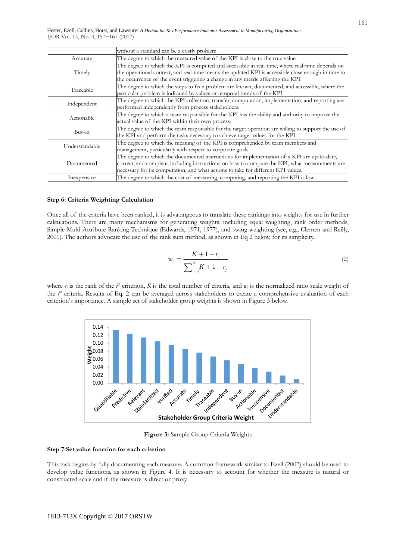|                | without a standard can be a costly problem                                                          |  |  |  |
|----------------|-----------------------------------------------------------------------------------------------------|--|--|--|
| Accurate       | The degree to which the measured value of the KPI is close to the true value.                       |  |  |  |
|                | The degree to which the KPI is computed and accessible in real-time, where real-time depends on     |  |  |  |
| Timely         | the operational context, and real-time means the updated KPI is accessible close enough in time to  |  |  |  |
|                | the occurrence of the event triggering a change in any metric affecting the KPI.                    |  |  |  |
| Traceable      | The degree to which the steps to fix a problem are known, documented, and accessible, where the     |  |  |  |
|                | particular problem is indicated by values or temporal trends of the KPI.                            |  |  |  |
| Independent    | The degree to which the KPI collection, transfer, computation, implementation, and reporting are    |  |  |  |
|                | performed independently from process stakeholders.                                                  |  |  |  |
| Actionable     | The degree to which a team responsible for the KPI has the ability and authority to improve the     |  |  |  |
|                | actual value of the KPI within their own process.                                                   |  |  |  |
| $Buv-in$       | The degree to which the team responsible for the target operation are willing to support the use of |  |  |  |
|                | the KPI and perform the tasks necessary to achieve target values for the KPI.                       |  |  |  |
| Understandable | The degree to which the meaning of the KPI is comprehended by team members and                      |  |  |  |
|                | management, particularly with respect to corporate goals.                                           |  |  |  |
|                | The degree to which the documented instructions for implementation of a KPI are up-to-date,         |  |  |  |
| Documented     | correct, and complete, including instructions on how to compute the KPI, what measurements are      |  |  |  |
|                | necessary for its computation, and what actions to take for different KPI values.                   |  |  |  |
| Inexpensive    | The degree to which the cost of measuring, computing, and reporting the KPI is low.                 |  |  |  |

#### **Step 6: Criteria Weighting Calculation**

Once all of the criteria have been ranked, it is advatangeous to translate these rankings into weights for use in further calculations. There are many mechanisms for generating weights, including equal weighting, rank order methods, Simple Multi-Attribute Ranking Technique (Edwards, 1971, 1977), and swing weighting (see, e.g., Clemen and Reilly, 2001). The authors advocate the use of the rank sum method, as shown in Eq 2 below, for its simplicity.

$$
w_i = \frac{K + 1 - r_i}{\sum_{j=1}^{K} K + 1 - r_j} \tag{2}
$$

where  $r_i$  is the rank of the  $i^b$  criterion,  $K$  is the total number of criteria, and  $w_i$  is the normalized ratio scale weight of the *i th* criteria. Results of Eq. 2 can be averaged across stakeholders to create a comprehensive evaluation of each criterion's importance. A sample set of stakeholder group weights is shown in Figure 3 below.



**Figure 3:** Sample Group Criteria Weights

#### **Step 7:Set value function for each criterion**

This task begins by fully documenting each measure. A common framework similar to Ezell (2007) should be used to develop value functions, as shown in Figure 4. It is necessary to account for whether the measure is natural or constructed scale and if the measure is direct or proxy.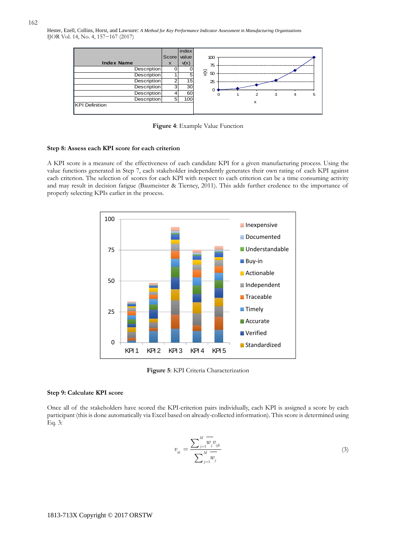

**Figure 4**: Example Value Function

#### **Step 8: Assess each KPI score for each criterion**

A KPI score is a measure of the effectiveness of each candidate KPI for a given manufacturing process. Using the value functions generated in Step 7, each stakeholder independently generates their own rating of each KPI against each criterion. The selection of scores for each KPI with respect to each criterion can be a time consuming activity and may result in decision fatigue (Baumeister & Tierney, 2011). This adds further credence to the importance of properly selecting KPIs earlier in the process.



**Figure 5**: KPI Criteria Characterization

#### **Step 9: Calculate KPI score**

Once all of the stakeholders have scored the KPI-criterion pairs individually, each KPI is assigned a score by each participant (this is done automatically via Excel based on already-collected information). This score is determined using Eq. 3:

$$
v_{ik} = \frac{\sum_{j=1}^{M} \overline{w_j} v_{ijk}}{\sum_{j=1}^{M} \overline{w_j}}
$$
(3)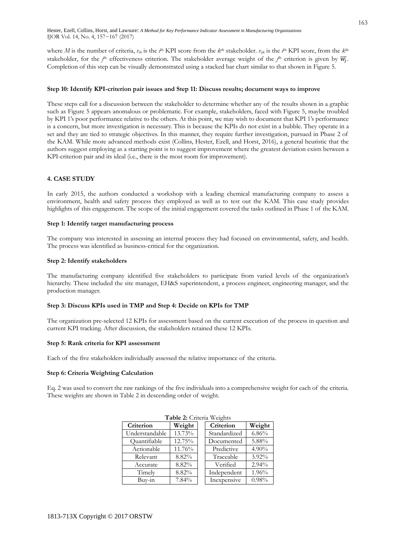where *M* is the number of criteria,  $v_{ik}$  is the  $i^{\text{th}}$  KPI score from the  $k^{\text{th}}$  stakeholder.  $v_{ik}$  is the  $i^{\text{th}}$  KPI score, from the  $k^{\text{th}}$ stakeholder, for the *j*<sup>th</sup> effectiveness criterion. The stakeholder average weight of the *j*<sup>th</sup> criterion is given by  $\overline{W_j}$ . Completion of this step can be visually demonstrated using a stacked bar chart similar to that shown in Figure 5.

#### **Step 10: Identify KPI-criterion pair issues and Step 11: Discuss results; document ways to improve**

These steps call for a discussion between the stakeholder to determine whether any of the results shown in a graphic such as Figure 5 appears anomalous or problematic. For example, stakeholders, faced with Figure 5, maybe troubled by KPI 1's poor performance relative to the others. At this point, we may wish to document that KPI 1's performance is a concern, but more investigation is necessary. This is because the KPIs do not exist in a bubble. They operate in a set and they are tied to strategic objectives. In this manner, they require further investigation, pursued in Phase 2 of the KAM. While more advanced methods exist (Collins, Hester, Ezell, and Horst, 2016), a general heuristic that the authors suggest employing as a starting point is to suggest improvement where the greatest deviation exists between a KPI-criterion pair and its ideal (i.e., there is the most room for improvement).

#### **4. CASE STUDY**

In early 2015, the authors conducted a workshop with a leading chemical manufacturing company to assess a environment, health and safety process they employed as well as to test out the KAM. This case study provides highlights of this engagement. The scope of the initial engagement covered the tasks outlined in Phase 1 of the KAM.

#### **Step 1: Identify target manufacturing process**

The company was interested in assessing an internal process they had focused on environmental, safety, and health. The process was identified as business-critical for the organization.

#### **Step 2: Identify stakeholders**

The manufacturing company identified five stakeholders to participate from varied levels of the organization's hierarchy. These included the site manager, EH&S superintendent, a process engineer, engineering manager, and the production manager.

#### **Step 3: Discuss KPIs used in TMP and Step 4: Decide on KPIs for TMP**

The organization pre-selected 12 KPIs for assessment based on the current execution of the process in question and current KPI tracking. After discussion, the stakeholders retained these 12 KPIs.

#### **Step 5: Rank criteria for KPI assessment**

Each of the five stakeholders individually assessed the relative importance of the criteria.

#### **Step 6: Criteria Weighting Calculation**

Eq. 2 was used to convert the raw rankings of the five individuals into a comprehensive weight for each of the criteria. These weights are shown in Table 2 in descending order of weight.

| <b>Table 2:</b> Criteria Weights |        |  |              |          |  |  |  |
|----------------------------------|--------|--|--------------|----------|--|--|--|
| Criterion                        | Weight |  | Criterion    | Weight   |  |  |  |
| Understandable                   | 13.73% |  | Standardized | 6.86%    |  |  |  |
| Quantifiable                     | 12.75% |  | Documented   | 5.88%    |  |  |  |
| Actionable                       | 11.76% |  | Predictive   | $4.90\%$ |  |  |  |
| Relevant                         | 8.82%  |  | Traceable    | $3.92\%$ |  |  |  |
| Accurate                         | 8.82%  |  | Verified     | 2.94%    |  |  |  |
| Timely                           | 8.82%  |  | Independent  | 1.96%    |  |  |  |
| Buy-in                           | 7.84%  |  | Inexpensive  | 0.98%    |  |  |  |

### **Table 2:** Criteria Weights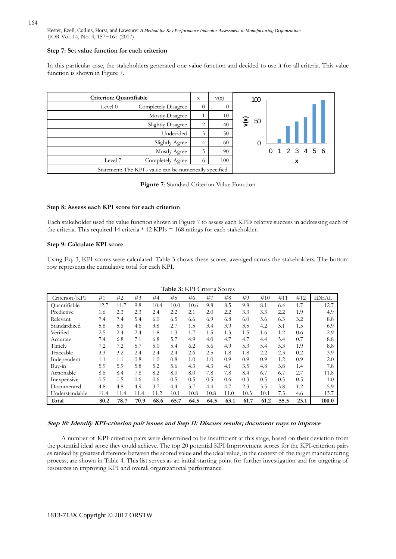#### **Step 7: Set value function for each criterion**

In this particular case, the stakeholders generated one value function and decided to use it for all criteria. This value function is shown in Figure 7.

| Criterion: Quantifiable                                  | $\mathbf x$ | v(x) | 100        |             |
|----------------------------------------------------------|-------------|------|------------|-------------|
| Level 0<br><b>Completely Disagree</b>                    | $\Omega$    | 0    |            |             |
| Mostly Disagree                                          |             | 10   |            |             |
| Slightly Disagree                                        | 2           | 40   | ν(x)<br>50 |             |
| Undecided                                                | 3           | 50   |            |             |
| Slightly Agree                                           | 4           | 60   |            |             |
| Mostly Agree                                             | 5           | 90   |            | 1 2 3 4 5 6 |
| Completely Agree<br>Level 7                              | 6           | 100  |            | x           |
| Statement: The KPI's value can be numerically specified. |             |      |            |             |

**Figure 7**: Standard Criterion Value Function

#### **Step 8: Assess each KPI score for each criterion**

Each stakeholder used the value function shown in Figure 7 to assess each KPI's relative success in addressing each of the criteria. This required 14 criteria \* 12 KPIs = 168 ratings for each stakeholder.

#### **Step 9: Calculate KPI score**

Using Eq. 3, KPI scores were calculated. Table 3 shows these scores, averaged across the stakeholders. The bottom row represents the cumulative total for each KPI.

| Table 3: KPI Criteria Scores |      |      |      |      |      |      |      |      |      |      |      |      |              |
|------------------------------|------|------|------|------|------|------|------|------|------|------|------|------|--------------|
| Criterion/KPI                | #1   | #2   | #3   | #4   | #5   | #6   | #7   | #8   | #9   | #10  | #11  | #12  | <b>IDEAL</b> |
| Ouantifiable                 | 12.7 | 11.7 | 9.8  | 10.4 | 10.0 | 10.6 | 9.8  | 8.5  | 9.8  | 8.1  | 6.4  | 1.7  | 12.7         |
| Predictive                   | 1.6  | 2.3  | 2.3  | 2.4  | 2.2  | 2.1  | 2.0  | 2.2  | 3.3  | 3.3  | 2.2  | 1.9  | 4.9          |
| Relevant                     | 7.4  | 7.4  | 5.4  | 6.0  | 6.5  | 6.6  | 6.9  | 6.8  | 6.0  | 5.6  | 6.3  | 3.2  | 8.8          |
| Standardized                 | 5.8  | 5.6  | 4.6  | 3.8  | 2.7  | 1.5  | 3.4  | 3.9  | 3.5  | 4.2  | 3.1  | 1.5  | 6.9          |
| Verified                     | 2.5  | 2.4  | 2.4  | 1.8  | 1.3  | 1.7  | 1.5  | 1.3  | 1.5  | 1.6  | 1.2  | 0.6  | 2.9          |
| Accurate                     | 7.4  | 6.8  | 7.1  | 6.8  | 5.7  | 4.9  | 4.0  | 4.7  | 4.7  | 4.4  | 5.4  | 0.7  | 8.8          |
| Timely                       | 7.2  | 7.2  | 5.7  | 5.0  | 5.4  | 6.2  | 5.6  | 4.9  | 5.3  | 5.4  | 5.3  | 1.9  | 8.8          |
| Traceable                    | 3.3  | 3.2  | 2.4  | 2.4  | 2.4  | 2.6  | 2.5  | 1.8  | 1.8  | 2.2  | 2.3  | 0.2  | 3.9          |
| Independent                  | 1.1  | 1.1  | 0.8  | 1.0  | 0.8  | 1.0  | 1.0  | 0.9  | 0.9  | 0.9  | 1.2  | 0.9  | 2.0          |
| $Buv-in$                     | 5.9  | 5.9  | 5.8  | 5.2  | 5.6  | 4.3  | 4.3  | 4.1  | 3.5  | 4.8  | 3.8  | 1.4  | 7.8          |
| Actionable                   | 8.6  | 8.4  | 7.8  | 8.2  | 8.0  | 8.0  | 7.8  | 7.8  | 8.4  | 6.7  | 6.7  | 2.7  | 11.8         |
| Inexpensive                  | 0.5  | 0.5  | 0.6  | 0.6  | 0.5  | 0.5  | 0.5  | 0.6  | 0.3  | 0.5  | 0.5  | 0.5  | 1.0          |
| Documented                   | 4.8  | 4.8  | 4.9  | 3.7  | 4.4  | 3.7  | 4.4  | 4.7  | 2.3  | 3.5  | 3.8  | 1.2  | 5.9          |
| Understandable               | 11.4 | 11.4 | 11.4 | 11.2 | 10.1 | 10.8 | 10.8 | 11.0 | 10.3 | 10.1 | 7.3  | 4.6  | 13.7         |
| Total                        | 80.2 | 78.7 | 70.9 | 68.6 | 65.7 | 64.5 | 64.5 | 63.1 | 61.7 | 61.2 | 55.5 | 23.1 | 100.0        |

**Step 10: Identify KPI-criterion pair issues and Step 11: Discuss results; document ways to improve** 

A number of KPI-criterion pairs were determined to be insufficient at this stage, based on their deviation from the potential ideal score they could achieve. The top 20 potential KPI Improvement scores for the KPI-criterion pairs as ranked by greatest difference between the scored value and the ideal value, in the context of the target manufacturing process, are shown in Table 4. This list serves as an initial starting point for further investigation and for targeting of resources in improving KPI and overall organizational performance.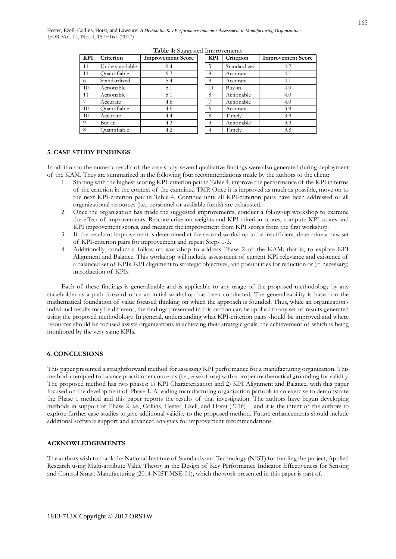| <b>KPI</b> | Criterion      | <b>Improvement Score</b> | <b>KPI</b>    | Criterion    | <b>Improvement Score</b> |
|------------|----------------|--------------------------|---------------|--------------|--------------------------|
| 11         | Understandable | 6.4                      | 5             | Standardized | 4.2                      |
| 11         | Ouantifiable   | 6.3                      | 8             | Accurate     | 4.1                      |
| 6          | Standardized   | 5.4                      |               | Accurate     | 4.1                      |
| 10         | Actionable     | 5.1                      | 11            | Buv-in       | 4.0                      |
| 11         | Actionable     | 5.1                      | 8             | Actionable   | 4.0                      |
|            | Accurate       | 4.8                      |               | Actionable   | 4.0                      |
| 10         | Ouantifiable   | 4.6                      | 6             | Accurate     | 3.9                      |
| 10         | Accurate       | 4.4                      | 8             | Timelv       | 3.9                      |
| $\Omega$   | Buv-in         | 4.3                      | $\mathcal{Z}$ | Actionable   | 3.9                      |
| 8          | Ouantifiable   | 4.2                      |               | Timely       | 3.8                      |

**Table 4:** Suggested Improvements

#### **5. CASE STUDY FINDINGS**

In addition to the numeric results of the case study, several qualitative findings were also generated during deployment of the KAM. They are summarized in the following four recommendations made by the authors to the client:

- 1. Starting with the highest scoring KPI-criterion pair in Table 4, improve the performance of the KPI in terms of the criterion in the context of the examined TMP. Once it is improved as much as possible, move on to the next KPI-criterion pair in Table 4. Continue until all KPI-criterion pairs have been addressed or all organizational resources (i.e., personnel or available funds) are exhausted.
- 2. Once the organization has made the suggested improvements, conduct a follow-up workshop to examine the effect of improvements. Rescore criterion weights and KPI criterion scores, compute KPI scores and KPI improvement scores, and measure the improvement from KPI scores from the first workshop.
- 3. If the resultant improvement is determined at the second workshop to be insufficient, determine a new set of KPI-criterion pairs for improvement and repeat Steps 1-3.
- 4. Additionally, conduct a follow-up workshop to address Phase 2 of the KAM; that is, to explore KPI Alignment and Balance. This workshop will include assessment of current KPI relevance and existence of a balanced set of KPIs, KPI alignment to strategic objectives, and possibilities for reduction or (if necessary) introduction of KPIs.

Each of these findings is generalizable and is applicable to any usage of the proposed methodology by any stakeholder as a path forward once an initial workshop has been conducted. The generalizability is based on the mathematical foundation of value focused thinking on which the approach is founded. Thus, while an organization's individual results may be different, the findings presented in this section can be applied to any set of results generated using the proposed methodology. In general, understanding what KPI-criterion pairs should be improved and where resources should be focused assists organizations in achieving their strategic goals, the achievement of which is being monitored by the very same KPIs.

#### **6. CONCLUSIONS**

This paper presented a straightforward method for assessing KPI performance for a manufacturing organization. This method attempted to balance practitioner concerns (i.e., ease of use) with a proper mathematical grounding for validity. The proposed method has two phases: 1) KPI Characterization and 2) KPI Alignment and Balance, with this paper focused on the development of Phase 1. A leading manufacturing organization partook in an exercise to demonstrate the Phase 1 method and this paper reports the results of that investigation. The authors have begun developing methods in support of Phase 2, i.e., Collins, Hester, Ezell, and Horst (2016), and it is the intent of the authors to explore further case studies to give additional validity to the proposed method. Future enhancements should include additional software support and advanced analytics for improvement recommendations.

#### **ACKNOWLEDGEMENTS**

The authors wish to thank the National Institute of Standards and Technology (NIST) for funding the project, Applied Research using Multi-attribute Value Theory in the Design of Key Performance Indicator Effectiveness for Sensing and Control Smart Manufacturing (2014-NIST-MSE-01), which the work presented in this paper is part of.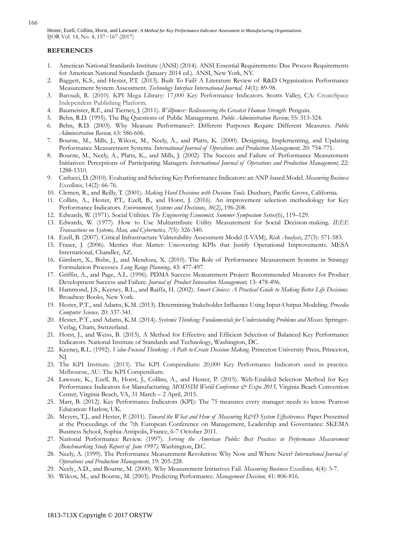#### **REFERENCES**

- 1. American National Standards Institute (ANSI) (2014). ANSI Essential Requirements: Due Process Requirements for American National Standards (January 2014 ed.). ANSI, New York, NY.
- 2. Baggett, K.S., and Hester, P.T. (2013). Built To Fail? A Literature Review of R&D Organization Performance Measurement System Assessment. *Technology Interface International Journal, 14*(1): 89-98.
- 3. Baroudi, R. (2010). KPI Mega Library: 17,000 Key Performance Indicators. Scotts Valley, CA: CreateSpace Independent Publishing Platform.
- 4. Baumeister, R.F., and Tierney, J. (2011). *Willpower: Rediscovering the Greatest Human Strength.* Penguin.
- 5. Behn, R.D. (1995). The Big Questions of Public Management. *Public Administration Review,* 55: 313-324.
- 6. Behn, R.D. (2003). Why Measure Performance?: Different Purposes Require Different Measures. *Public Administration Review,* 63: 586-606.
- 7. Bourne, M., Mills, J., Wilcox, M., Neely, A., and Platts, K. (2000). Designing, Implementing, and Updating Performance Measurement Systems. *International Journal of Operations and Production Management,* 20: 754-771.
- 8. Bourne, M., Neely, A., Platts, K., and Mills, J. (2002). The Success and Failure of Performance Measurement Initiatives: Perceptions of Participating Managers. *International Journal of Operations and Production Management,* 22: 1288-1310.
- 9. Carlucci, D. (2010). Evaluating and Selecting Key Performance Indicators: an ANP-based Model. *Measuring Business Excellence*, 14(2): 66-76.
- 10. Clemen, R., and Reilly, T. (2001). *Making Hard Decisions with Decision Tools*. Duxbury, Pacific Grove, California.
- 11. Collins, A., Hester, P.T., Ezell, B., and Horst, J. (2016). An improvement selection methodology for Key Performance Indicators. *Environment, Systems and Decisions*, *36*(2), 196-208.
- 12. Edwards, W. (1971). Social Utilities. *The Engineering Economist, Summer Symposium Series*(6), 119–129.
- 13. Edwards, W. (1977). How to Use Multiattribute Utility Measurement for Social Decision-making. *IEEE Transactions on Systems, Man, and Cybernetics, 7*(5): 326-340.
- 14. Ezell, B. (2007). Critical Infrastructure Vulnerability Assessment Model (I-VAM), *Risk Analysis*, 27(3): 571-583.
- 15. Fraser, J. (2006). Metrics that Matter: Uncovering KPIs that Justify Operational Improvements. MESA International, Chandler, AZ.
- 16. Gimbert, X., Bisbe, J., and Mendoza, X. (2010). The Role of Performance Measurement Systems in Strategy Formulation Processes. *Long Range Planning,* 43: 477-497.
- 17. Griffin, A., and Page, A.L. (1996). PDMA Success Measurement Project: Recommended Measures for Product Development Success and Failure. *Journal of Product Innovation Management,* 13: 478-496.
- 18. Hammond, J.S., Keeney, R.L., and Raiffa, H. (2002). *Smart Choices: A Practical Guide to Making Better Life Decisions*. Broadway Books, New York.
- 19. Hester, P.T., and Adams, K.M. (2013). Determining Stakeholder Influence Using Input-Output Modeling. *Procedia Computer Science,* 20: 337-341.
- 20. Hester, P.T., and Adams, K.M. (2014). *Systemic Thinking: Fundamentals for Understanding Problems and Messes*. Springer-Verlag, Cham, Switzerland.
- 21. Horst, J., and Weiss, B. (2015). A Method for Effective and Efficient Selection of Balanced Key Performance Indicators. National Institute of Standards and Technology, Washington, DC.
- 22. Keeney, R.L. (1992). *Value-Focused Thinking: A Path to Create Decision Making*. Princeton University Press, Princeton, NJ.
- 23. The KPI Institute. (2013). The KPI Compendium: 20,000 Key Performance Indicators used in practice. Melbourne, AU: The KPI Compendium.
- 24. Lawsure, K., Ezell, B., Horst, J., Collins, A., and Hester, P. (2015). Web-Enabled Selection Method for Key Performance Indicators for Manufacturing. *MODSIM World Conference & Expo 2015*, Virginia Beach Convention Center, Virginia Beach, VA, 31 March – 2 April, 2015.
- 25. Marr, B. (2012). Key Performance Indicators (KPI): The 75 measures every manager needs to know. Pearson Education: Harlow, UK.
- 26. Meyers, T.J., and Hester, P. (2011). *Toward the What and How of Measuring R&D System Effectiveness*. Paper Presented at the Proceedings of the 7th European Conference on Management, Leadership and Governance: SKEMA Business School, Sophia-Antipolis, France, 6-7 October 2011.
- 27. National Performance Review. (1997). *Serving the American Public: Best Practices in Performance Measurement (Benchmarking Study Report of June 1997)*. Washington, D.C.
- 28. Neely, A. (1999). The Performance Measurement Revolution: Why Now and Where Next? *International Journal of Operations and Production Management,* 19: 205-228.
- 29. Neely, A.D., and Bourne, M. (2000). Why Measurement Initiatives Fail. *Measuring Business Excellence,* 4(4): 3-7.
- 30. Wilcox, M., and Bourne, M. (2003). Predicting Performance. *Management Decision,* 41: 806-816.